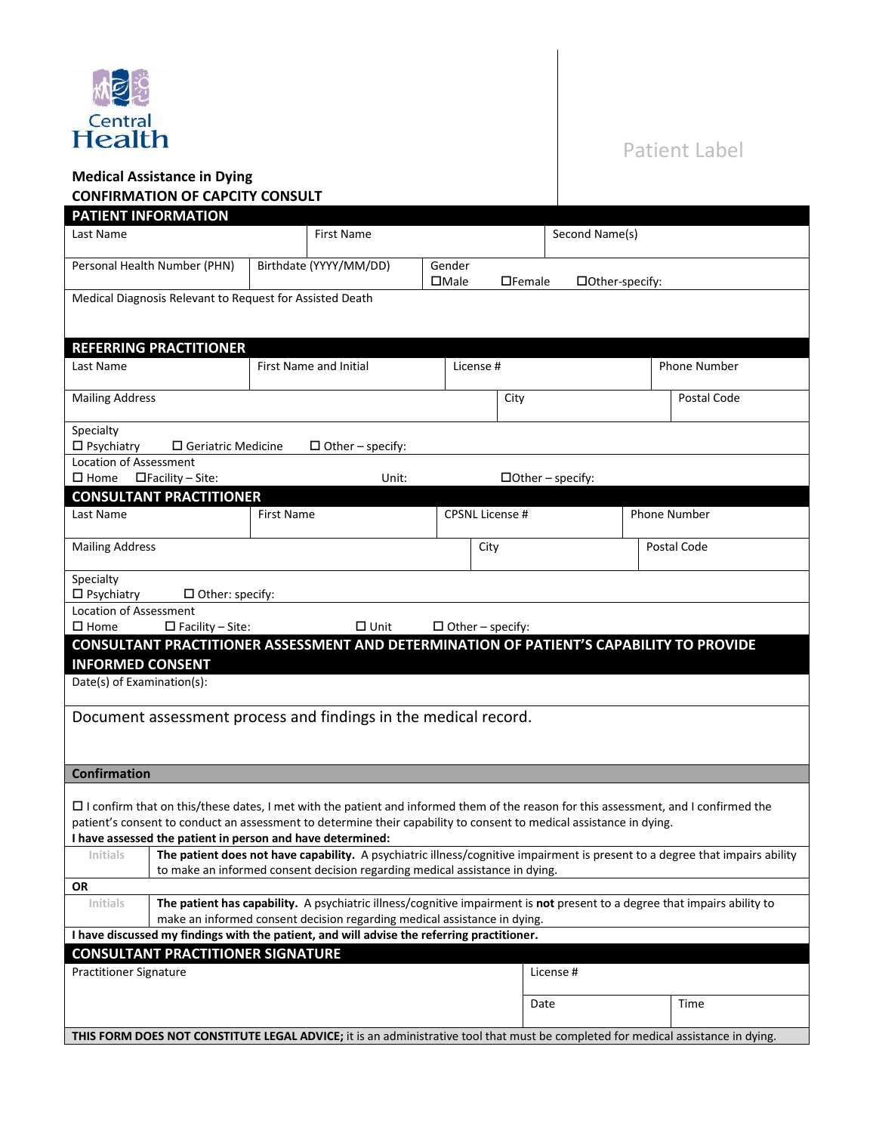

## Patient Label

## **Medical Assistance in Dying CONFIRMATION OF CAPCITY CONSULT**

| <b>PATIENT INFORMATION</b>                                                                                                                                                        |                                                                                                                                                                                                             |                   |                         |                       |                        |                 |                     |              |
|-----------------------------------------------------------------------------------------------------------------------------------------------------------------------------------|-------------------------------------------------------------------------------------------------------------------------------------------------------------------------------------------------------------|-------------------|-------------------------|-----------------------|------------------------|-----------------|---------------------|--------------|
| Last Name                                                                                                                                                                         |                                                                                                                                                                                                             |                   | <b>First Name</b>       |                       |                        | Second Name(s)  |                     |              |
|                                                                                                                                                                                   |                                                                                                                                                                                                             |                   |                         |                       |                        |                 |                     |              |
|                                                                                                                                                                                   | Personal Health Number (PHN)                                                                                                                                                                                |                   | Birthdate (YYYY/MM/DD)  | Gender<br>$\Box$ Male | $\Box$ Female          | □Other-specify: |                     |              |
| Medical Diagnosis Relevant to Request for Assisted Death                                                                                                                          |                                                                                                                                                                                                             |                   |                         |                       |                        |                 |                     |              |
|                                                                                                                                                                                   |                                                                                                                                                                                                             |                   |                         |                       |                        |                 |                     |              |
|                                                                                                                                                                                   |                                                                                                                                                                                                             |                   |                         |                       |                        |                 |                     |              |
|                                                                                                                                                                                   | <b>REFERRING PRACTITIONER</b>                                                                                                                                                                               |                   |                         |                       |                        |                 |                     |              |
| Last Name                                                                                                                                                                         | <b>First Name and Initial</b>                                                                                                                                                                               |                   |                         | License #             |                        |                 | <b>Phone Number</b> |              |
| <b>Mailing Address</b>                                                                                                                                                            |                                                                                                                                                                                                             |                   |                         |                       | City                   |                 |                     | Postal Code  |
|                                                                                                                                                                                   |                                                                                                                                                                                                             |                   |                         |                       |                        |                 |                     |              |
| Specialty                                                                                                                                                                         |                                                                                                                                                                                                             |                   |                         |                       |                        |                 |                     |              |
| $\square$ Psychiatry                                                                                                                                                              | $\square$ Geriatric Medicine                                                                                                                                                                                |                   | $\Box$ Other – specify: |                       |                        |                 |                     |              |
| <b>Location of Assessment</b>                                                                                                                                                     |                                                                                                                                                                                                             |                   |                         |                       |                        |                 |                     |              |
| $\square$ Home $\square$ Facility - Site:<br>$\Box$ Other – specify:<br>Unit:<br><b>CONSULTANT PRACTITIONER</b>                                                                   |                                                                                                                                                                                                             |                   |                         |                       |                        |                 |                     |              |
| Last Name                                                                                                                                                                         |                                                                                                                                                                                                             | <b>First Name</b> |                         |                       | <b>CPSNL License #</b> |                 |                     | Phone Number |
|                                                                                                                                                                                   |                                                                                                                                                                                                             |                   |                         |                       |                        |                 |                     |              |
| <b>Mailing Address</b>                                                                                                                                                            |                                                                                                                                                                                                             |                   |                         |                       | City                   |                 |                     | Postal Code  |
|                                                                                                                                                                                   |                                                                                                                                                                                                             |                   |                         |                       |                        |                 |                     |              |
| Specialty                                                                                                                                                                         |                                                                                                                                                                                                             |                   |                         |                       |                        |                 |                     |              |
| $\square$ Psychiatry<br>$\Box$ Other: specify:<br><b>Location of Assessment</b>                                                                                                   |                                                                                                                                                                                                             |                   |                         |                       |                        |                 |                     |              |
| $\square$ Home<br>$\Box$ Facility – Site:<br>$\Box$ Unit<br>$\Box$ Other – specify:                                                                                               |                                                                                                                                                                                                             |                   |                         |                       |                        |                 |                     |              |
| <b>CONSULTANT PRACTITIONER ASSESSMENT AND DETERMINATION OF PATIENT'S CAPABILITY TO PROVIDE</b>                                                                                    |                                                                                                                                                                                                             |                   |                         |                       |                        |                 |                     |              |
| <b>INFORMED CONSENT</b>                                                                                                                                                           |                                                                                                                                                                                                             |                   |                         |                       |                        |                 |                     |              |
| Date(s) of Examination(s):                                                                                                                                                        |                                                                                                                                                                                                             |                   |                         |                       |                        |                 |                     |              |
|                                                                                                                                                                                   |                                                                                                                                                                                                             |                   |                         |                       |                        |                 |                     |              |
| Document assessment process and findings in the medical record.                                                                                                                   |                                                                                                                                                                                                             |                   |                         |                       |                        |                 |                     |              |
|                                                                                                                                                                                   |                                                                                                                                                                                                             |                   |                         |                       |                        |                 |                     |              |
|                                                                                                                                                                                   |                                                                                                                                                                                                             |                   |                         |                       |                        |                 |                     |              |
| <b>Confirmation</b>                                                                                                                                                               |                                                                                                                                                                                                             |                   |                         |                       |                        |                 |                     |              |
|                                                                                                                                                                                   |                                                                                                                                                                                                             |                   |                         |                       |                        |                 |                     |              |
| $\Box$ I confirm that on this/these dates, I met with the patient and informed them of the reason for this assessment, and I confirmed the                                        |                                                                                                                                                                                                             |                   |                         |                       |                        |                 |                     |              |
| patient's consent to conduct an assessment to determine their capability to consent to medical assistance in dying.<br>I have assessed the patient in person and have determined: |                                                                                                                                                                                                             |                   |                         |                       |                        |                 |                     |              |
| Initials                                                                                                                                                                          |                                                                                                                                                                                                             |                   |                         |                       |                        |                 |                     |              |
|                                                                                                                                                                                   | The patient does not have capability. A psychiatric illness/cognitive impairment is present to a degree that impairs ability<br>to make an informed consent decision regarding medical assistance in dying. |                   |                         |                       |                        |                 |                     |              |
| <b>OR</b>                                                                                                                                                                         |                                                                                                                                                                                                             |                   |                         |                       |                        |                 |                     |              |
| The patient has capability. A psychiatric illness/cognitive impairment is not present to a degree that impairs ability to<br>Initials                                             |                                                                                                                                                                                                             |                   |                         |                       |                        |                 |                     |              |
| make an informed consent decision regarding medical assistance in dying.                                                                                                          |                                                                                                                                                                                                             |                   |                         |                       |                        |                 |                     |              |
| I have discussed my findings with the patient, and will advise the referring practitioner.<br><b>CONSULTANT PRACTITIONER SIGNATURE</b>                                            |                                                                                                                                                                                                             |                   |                         |                       |                        |                 |                     |              |
| <b>Practitioner Signature</b><br>License #                                                                                                                                        |                                                                                                                                                                                                             |                   |                         |                       |                        |                 |                     |              |
|                                                                                                                                                                                   |                                                                                                                                                                                                             |                   |                         |                       |                        |                 |                     |              |
|                                                                                                                                                                                   |                                                                                                                                                                                                             |                   |                         |                       | Date                   |                 |                     | Time         |
|                                                                                                                                                                                   |                                                                                                                                                                                                             |                   |                         |                       |                        |                 |                     |              |
| THIS FORM DOES NOT CONSTITUTE LEGAL ADVICE; it is an administrative tool that must be completed for medical assistance in dying.                                                  |                                                                                                                                                                                                             |                   |                         |                       |                        |                 |                     |              |